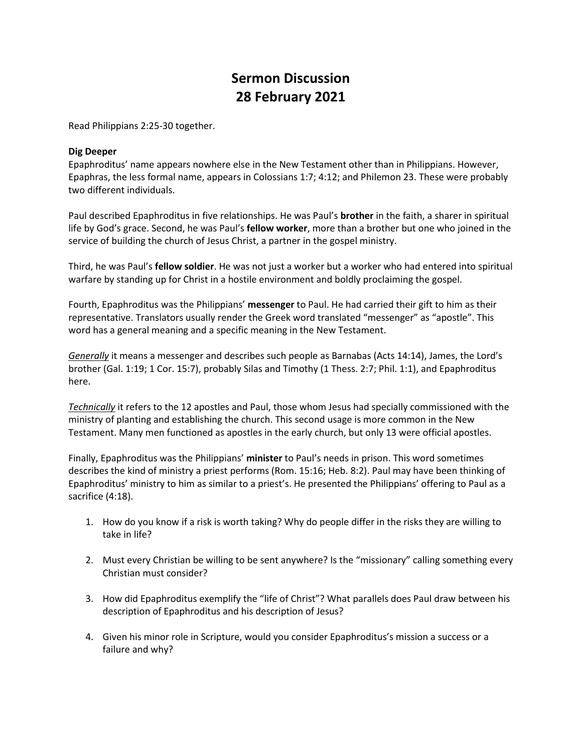## **Sermon Discussion 28 February 2021**

Read Philippians 2:25-30 together.

## **Dig Deeper**

Epaphroditus' name appears nowhere else in the New Testament other than in Philippians. However, Epaphras, the less formal name, appears in Colossians 1:7; 4:12; and Philemon 23. These were probably two different individuals.

Paul described Epaphroditus in five relationships. He was Paul's **brother** in the faith, a sharer in spiritual life by God's grace. Second, he was Paul's **fellow worker**, more than a brother but one who joined in the service of building the church of Jesus Christ, a partner in the gospel ministry.

Third, he was Paul's **fellow soldier**. He was not just a worker but a worker who had entered into spiritual warfare by standing up for Christ in a hostile environment and boldly proclaiming the gospel.

Fourth, Epaphroditus was the Philippians' **messenger** to Paul. He had carried their gift to him as their representative. Translators usually render the Greek word translated "messenger" as "apostle". This word has a general meaning and a specific meaning in the New Testament.

*Generally* it means a messenger and describes such people as Barnabas (Acts 14:14), James, the Lord's brother (Gal. 1:19; 1 Cor. 15:7), probably Silas and Timothy (1 Thess. 2:7; Phil. 1:1), and Epaphroditus here.

*Technically* it refers to the 12 apostles and Paul, those whom Jesus had specially commissioned with the ministry of planting and establishing the church. This second usage is more common in the New Testament. Many men functioned as apostles in the early church, but only 13 were official apostles.

Finally, Epaphroditus was the Philippians' **minister** to Paul's needs in prison. This word sometimes describes the kind of ministry a priest performs (Rom. 15:16; Heb. 8:2). Paul may have been thinking of Epaphroditus' ministry to him as similar to a priest's. He presented the Philippians' offering to Paul as a sacrifice (4:18).

- 1. How do you know if a risk is worth taking? Why do people differ in the risks they are willing to take in life?
- 2. Must every Christian be willing to be sent anywhere? Is the "missionary" calling something every Christian must consider?
- 3. How did Epaphroditus exemplify the "life of Christ"? What parallels does Paul draw between his description of Epaphroditus and his description of Jesus?
- 4. Given his minor role in Scripture, would you consider Epaphroditus's mission a success or a failure and why?